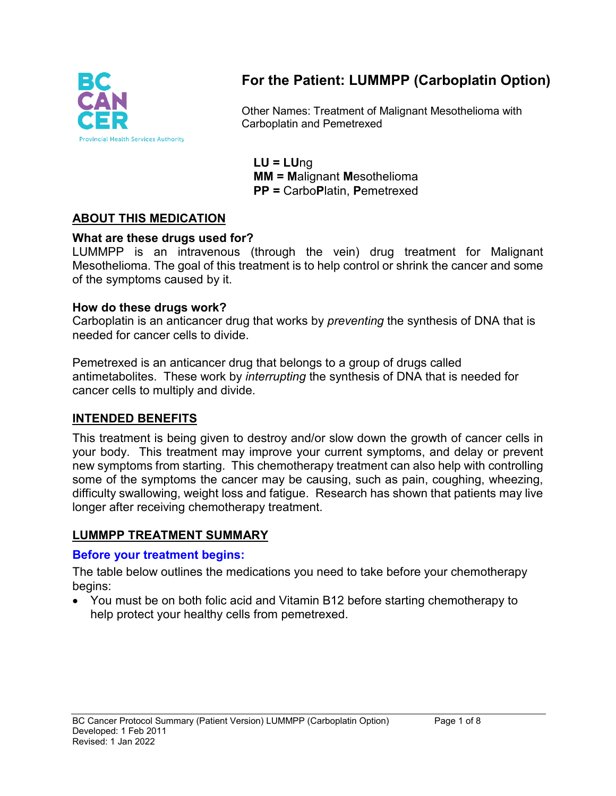

# **For the Patient: LUMMPP (Carboplatin Option)**

Other Names: Treatment of Malignant Mesothelioma with Carboplatin and Pemetrexed

**LU = LU**ng **MM = M**alignant **M**esothelioma **PP =** Carbo**P**latin, **P**emetrexed

### **ABOUT THIS MEDICATION**

#### **What are these drugs used for?**

LUMMPP is an intravenous (through the vein) drug treatment for Malignant Mesothelioma. The goal of this treatment is to help control or shrink the cancer and some of the symptoms caused by it.

#### **How do these drugs work?**

Carboplatin is an anticancer drug that works by *preventing* the synthesis of DNA that is needed for cancer cells to divide.

Pemetrexed is an anticancer drug that belongs to a group of drugs called antimetabolites. These work by *interrupting* the synthesis of DNA that is needed for cancer cells to multiply and divide.

#### **INTENDED BENEFITS**

This treatment is being given to destroy and/or slow down the growth of cancer cells in your body. This treatment may improve your current symptoms, and delay or prevent new symptoms from starting. This chemotherapy treatment can also help with controlling some of the symptoms the cancer may be causing, such as pain, coughing, wheezing, difficulty swallowing, weight loss and fatigue. Research has shown that patients may live longer after receiving chemotherapy treatment.

### **LUMMPP TREATMENT SUMMARY**

#### **Before your treatment begins:**

The table below outlines the medications you need to take before your chemotherapy begins:

• You must be on both folic acid and Vitamin B12 before starting chemotherapy to help protect your healthy cells from pemetrexed.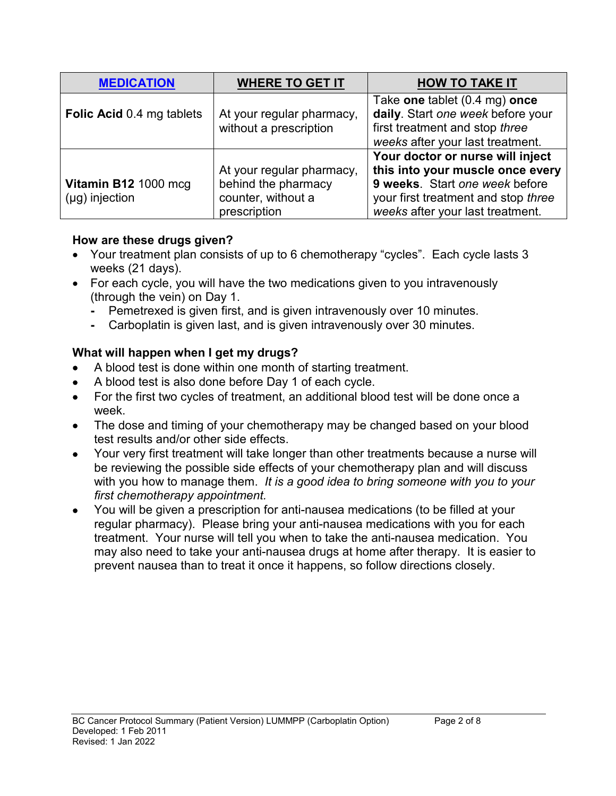| <b>MEDICATION</b>                           | <b>WHERE TO GET IT</b>                                                                 | <b>HOW TO TAKE IT</b>                                                                                                                                                             |
|---------------------------------------------|----------------------------------------------------------------------------------------|-----------------------------------------------------------------------------------------------------------------------------------------------------------------------------------|
| <b>Folic Acid 0.4 mg tablets</b>            | At your regular pharmacy,<br>without a prescription                                    | Take one tablet (0.4 mg) once<br>daily. Start one week before your<br>first treatment and stop three<br>weeks after your last treatment.                                          |
| Vitamin B12 1000 mcg<br>$(\mu g)$ injection | At your regular pharmacy,<br>behind the pharmacy<br>counter, without a<br>prescription | Your doctor or nurse will inject<br>this into your muscle once every<br>9 weeks. Start one week before<br>your first treatment and stop three<br>weeks after your last treatment. |

### **How are these drugs given?**

- Your treatment plan consists of up to 6 chemotherapy "cycles". Each cycle lasts 3 weeks (21 days).
- For each cycle, you will have the two medications given to you intravenously (through the vein) on Day 1.
	- **-** Pemetrexed is given first, and is given intravenously over 10 minutes.
	- **-** Carboplatin is given last, and is given intravenously over 30 minutes.

### **What will happen when I get my drugs?**

- A blood test is done within one month of starting treatment.
- A blood test is also done before Day 1 of each cycle.
- For the first two cycles of treatment, an additional blood test will be done once a week.
- The dose and timing of your chemotherapy may be changed based on your blood test results and/or other side effects.
- Your very first treatment will take longer than other treatments because a nurse will be reviewing the possible side effects of your chemotherapy plan and will discuss with you how to manage them. *It is a good idea to bring someone with you to your first chemotherapy appointment.*
- You will be given a prescription for anti-nausea medications (to be filled at your regular pharmacy). Please bring your anti-nausea medications with you for each treatment. Your nurse will tell you when to take the anti-nausea medication. You may also need to take your anti-nausea drugs at home after therapy. It is easier to prevent nausea than to treat it once it happens, so follow directions closely.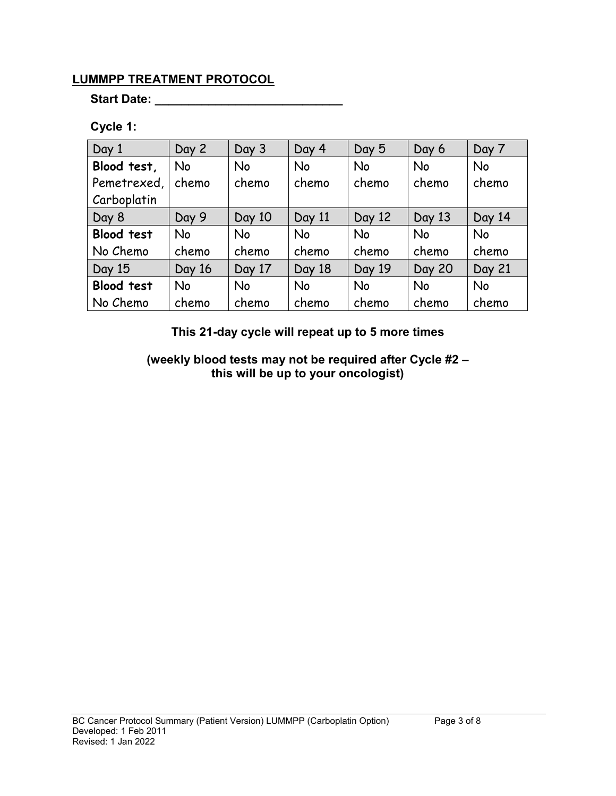### **LUMMPP TREATMENT PROTOCOL**

**Start Date: \_\_\_\_\_\_\_\_\_\_\_\_\_\_\_\_\_\_\_\_\_\_\_\_\_\_\_\_**

## **Cycle 1:**

| Day 1             | Day 2     | Day 3     | Day 4     | Day 5     | Day 6         | Day 7     |
|-------------------|-----------|-----------|-----------|-----------|---------------|-----------|
| Blood test,       | <b>No</b> | <b>No</b> | <b>No</b> | <b>No</b> | <b>No</b>     | <b>No</b> |
| Pemetrexed,       | chemo     | chemo     | chemo     | chemo     | chemo         | chemo     |
| Carboplatin       |           |           |           |           |               |           |
| Day 8             | Day 9     | Day 10    | Day 11    | Day 12    | Day 13        | Day 14    |
| <b>Blood test</b> | <b>No</b> | <b>No</b> | <b>No</b> | <b>No</b> | <b>No</b>     | <b>No</b> |
| No Chemo          | chemo     | chemo     | chemo     | chemo     | chemo         | chemo     |
| Day 15            | Day 16    | Day 17    | Day 18    | Day 19    | <b>Day 20</b> | Day 21    |
| <b>Blood test</b> | <b>No</b> | <b>No</b> | <b>No</b> | <b>No</b> | <b>No</b>     | <b>No</b> |
| No Chemo          | chemo     | chemo     | chemo     | chemo     | chemo         | chemo     |

**This 21-day cycle will repeat up to 5 more times**

**(weekly blood tests may not be required after Cycle #2 – this will be up to your oncologist)**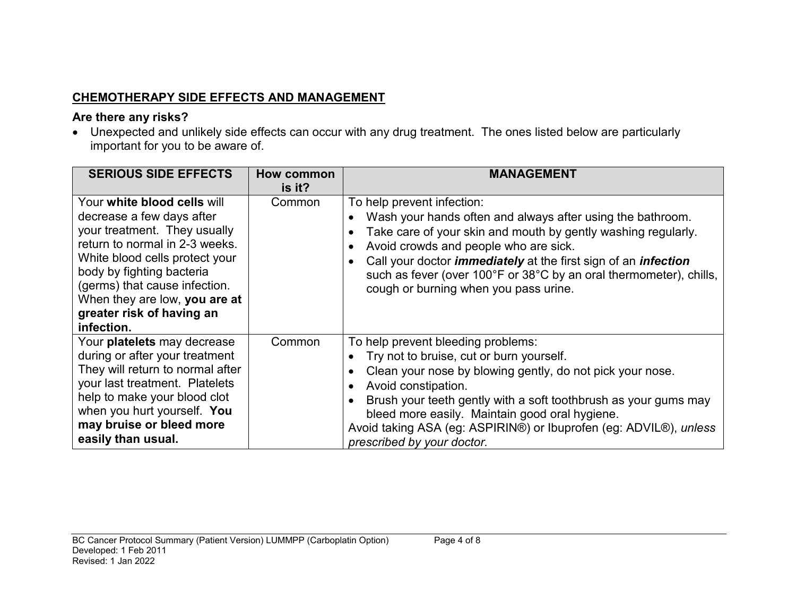# **CHEMOTHERAPY SIDE EFFECTS AND MANAGEMENT**

### **Are there any risks?**

• Unexpected and unlikely side effects can occur with any drug treatment. The ones listed below are particularly important for you to be aware of.

| <b>SERIOUS SIDE EFFECTS</b>                                                                                                                                                                                                                                                                            | How common<br>is it? | <b>MANAGEMENT</b>                                                                                                                                                                                                                                                                                                                                                                                 |
|--------------------------------------------------------------------------------------------------------------------------------------------------------------------------------------------------------------------------------------------------------------------------------------------------------|----------------------|---------------------------------------------------------------------------------------------------------------------------------------------------------------------------------------------------------------------------------------------------------------------------------------------------------------------------------------------------------------------------------------------------|
| Your white blood cells will<br>decrease a few days after<br>your treatment. They usually<br>return to normal in 2-3 weeks.<br>White blood cells protect your<br>body by fighting bacteria<br>(germs) that cause infection.<br>When they are low, you are at<br>greater risk of having an<br>infection. | Common               | To help prevent infection:<br>Wash your hands often and always after using the bathroom.<br>Take care of your skin and mouth by gently washing regularly.<br>Avoid crowds and people who are sick.<br>Call your doctor <i>immediately</i> at the first sign of an <i>infection</i><br>such as fever (over 100°F or 38°C by an oral thermometer), chills,<br>cough or burning when you pass urine. |
| Your platelets may decrease<br>during or after your treatment<br>They will return to normal after<br>your last treatment. Platelets<br>help to make your blood clot<br>when you hurt yourself. You<br>may bruise or bleed more<br>easily than usual.                                                   | Common               | To help prevent bleeding problems:<br>Try not to bruise, cut or burn yourself.<br>Clean your nose by blowing gently, do not pick your nose.<br>Avoid constipation.<br>Brush your teeth gently with a soft toothbrush as your gums may<br>bleed more easily. Maintain good oral hygiene.<br>Avoid taking ASA (eg: ASPIRIN®) or Ibuprofen (eg: ADVIL®), unless<br>prescribed by your doctor.        |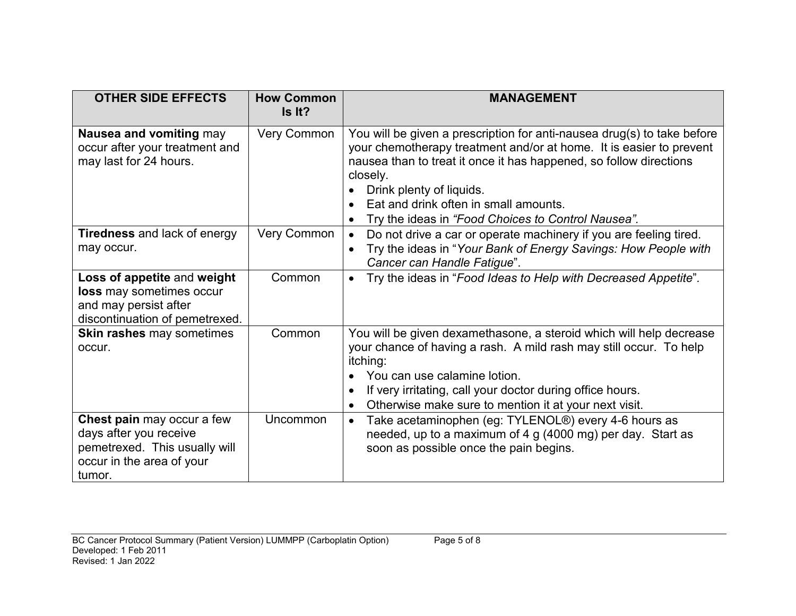| <b>OTHER SIDE EFFECTS</b>                                                                                                    | <b>How Common</b><br>Is It? | <b>MANAGEMENT</b>                                                                                                                                                                                                                                                                                                                                           |
|------------------------------------------------------------------------------------------------------------------------------|-----------------------------|-------------------------------------------------------------------------------------------------------------------------------------------------------------------------------------------------------------------------------------------------------------------------------------------------------------------------------------------------------------|
| Nausea and vomiting may<br>occur after your treatment and<br>may last for 24 hours.                                          | <b>Very Common</b>          | You will be given a prescription for anti-nausea drug(s) to take before<br>your chemotherapy treatment and/or at home. It is easier to prevent<br>nausea than to treat it once it has happened, so follow directions<br>closely.<br>Drink plenty of liquids.<br>Eat and drink often in small amounts.<br>Try the ideas in "Food Choices to Control Nausea". |
| <b>Tiredness</b> and lack of energy<br>may occur.                                                                            | Very Common                 | Do not drive a car or operate machinery if you are feeling tired.<br>$\bullet$<br>Try the ideas in "Your Bank of Energy Savings: How People with<br>$\bullet$<br>Cancer can Handle Fatigue".                                                                                                                                                                |
| Loss of appetite and weight<br>loss may sometimes occur<br>and may persist after<br>discontinuation of pemetrexed.           | Common                      | Try the ideas in "Food Ideas to Help with Decreased Appetite".                                                                                                                                                                                                                                                                                              |
| <b>Skin rashes may sometimes</b><br>occur.                                                                                   | Common                      | You will be given dexamethasone, a steroid which will help decrease<br>your chance of having a rash. A mild rash may still occur. To help<br>itching:<br>You can use calamine lotion.<br>If very irritating, call your doctor during office hours.<br>Otherwise make sure to mention it at your next visit.                                                 |
| Chest pain may occur a few<br>days after you receive<br>pemetrexed. This usually will<br>occur in the area of your<br>tumor. | Uncommon                    | Take acetaminophen (eg: TYLENOL®) every 4-6 hours as<br>$\bullet$<br>needed, up to a maximum of 4 g (4000 mg) per day. Start as<br>soon as possible once the pain begins.                                                                                                                                                                                   |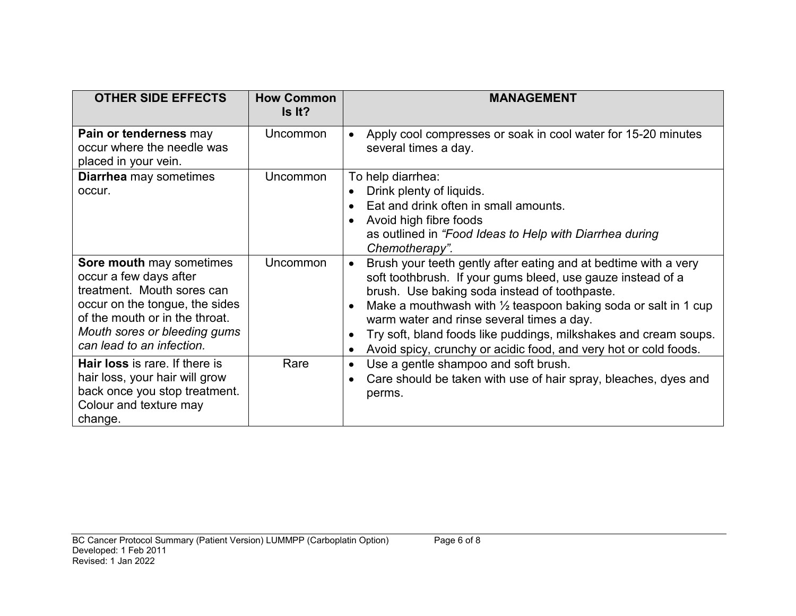| <b>OTHER SIDE EFFECTS</b>                                                                                                                                                                                         | <b>How Common</b><br>Is It? | <b>MANAGEMENT</b>                                                                                                                                                                                                                                                                                                                                                                                                                                              |
|-------------------------------------------------------------------------------------------------------------------------------------------------------------------------------------------------------------------|-----------------------------|----------------------------------------------------------------------------------------------------------------------------------------------------------------------------------------------------------------------------------------------------------------------------------------------------------------------------------------------------------------------------------------------------------------------------------------------------------------|
| Pain or tenderness may<br>occur where the needle was<br>placed in your vein.                                                                                                                                      | Uncommon                    | Apply cool compresses or soak in cool water for 15-20 minutes<br>several times a day.                                                                                                                                                                                                                                                                                                                                                                          |
| <b>Diarrhea</b> may sometimes<br>occur.                                                                                                                                                                           | Uncommon                    | To help diarrhea:<br>Drink plenty of liquids.<br>Eat and drink often in small amounts.<br>Avoid high fibre foods<br>as outlined in "Food Ideas to Help with Diarrhea during<br>Chemotherapy".                                                                                                                                                                                                                                                                  |
| Sore mouth may sometimes<br>occur a few days after<br>treatment. Mouth sores can<br>occur on the tongue, the sides<br>of the mouth or in the throat.<br>Mouth sores or bleeding gums<br>can lead to an infection. | Uncommon                    | Brush your teeth gently after eating and at bedtime with a very<br>$\bullet$<br>soft toothbrush. If your gums bleed, use gauze instead of a<br>brush. Use baking soda instead of toothpaste.<br>Make a mouthwash with $\frac{1}{2}$ teaspoon baking soda or salt in 1 cup<br>warm water and rinse several times a day.<br>Try soft, bland foods like puddings, milkshakes and cream soups.<br>Avoid spicy, crunchy or acidic food, and very hot or cold foods. |
| <b>Hair loss</b> is rare. If there is<br>hair loss, your hair will grow<br>back once you stop treatment.<br>Colour and texture may<br>change.                                                                     | Rare                        | Use a gentle shampoo and soft brush.<br>Care should be taken with use of hair spray, bleaches, dyes and<br>perms.                                                                                                                                                                                                                                                                                                                                              |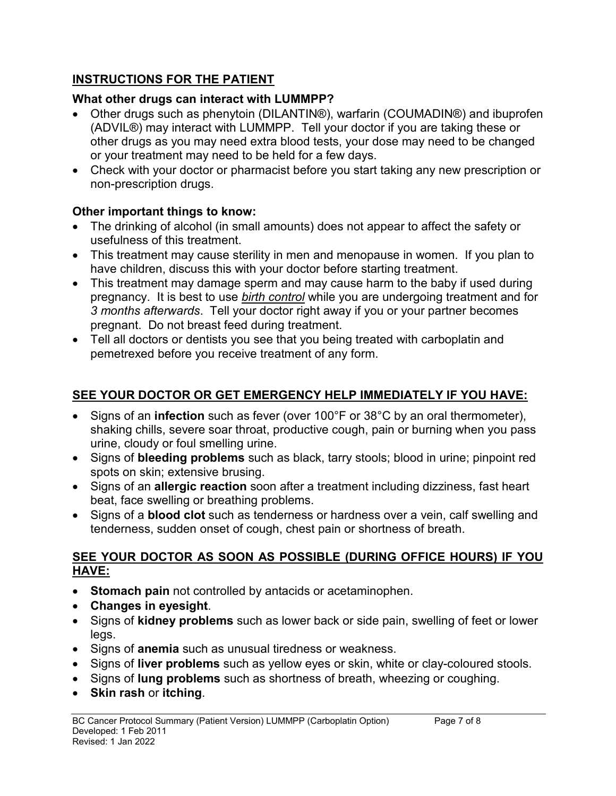## **INSTRUCTIONS FOR THE PATIENT**

# **What other drugs can interact with LUMMPP?**

- Other drugs such as phenytoin (DILANTIN®), warfarin (COUMADIN®) and ibuprofen (ADVIL®) may interact with LUMMPP. Tell your doctor if you are taking these or other drugs as you may need extra blood tests, your dose may need to be changed or your treatment may need to be held for a few days.
- Check with your doctor or pharmacist before you start taking any new prescription or non-prescription drugs.

# **Other important things to know:**

- The drinking of alcohol (in small amounts) does not appear to affect the safety or usefulness of this treatment.
- This treatment may cause sterility in men and menopause in women. If you plan to have children, discuss this with your doctor before starting treatment.
- This treatment may damage sperm and may cause harm to the baby if used during pregnancy. It is best to use *birth control* while you are undergoing treatment and for *3 months afterwards*. Tell your doctor right away if you or your partner becomes pregnant. Do not breast feed during treatment.
- Tell all doctors or dentists you see that you being treated with carboplatin and pemetrexed before you receive treatment of any form.

# **SEE YOUR DOCTOR OR GET EMERGENCY HELP IMMEDIATELY IF YOU HAVE:**

- Signs of an **infection** such as fever (over 100°F or 38°C by an oral thermometer), shaking chills, severe soar throat, productive cough, pain or burning when you pass urine, cloudy or foul smelling urine.
- Signs of **bleeding problems** such as black, tarry stools; blood in urine; pinpoint red spots on skin; extensive brusing.
- Signs of an **allergic reaction** soon after a treatment including dizziness, fast heart beat, face swelling or breathing problems.
- Signs of a **blood clot** such as tenderness or hardness over a vein, calf swelling and tenderness, sudden onset of cough, chest pain or shortness of breath.

### **SEE YOUR DOCTOR AS SOON AS POSSIBLE (DURING OFFICE HOURS) IF YOU HAVE:**

- **Stomach pain** not controlled by antacids or acetaminophen.
- **Changes in eyesight**.
- Signs of **kidney problems** such as lower back or side pain, swelling of feet or lower legs.
- Signs of **anemia** such as unusual tiredness or weakness.
- Signs of **liver problems** such as yellow eyes or skin, white or clay-coloured stools.
- Signs of **lung problems** such as shortness of breath, wheezing or coughing.
- **Skin rash** or **itching**.